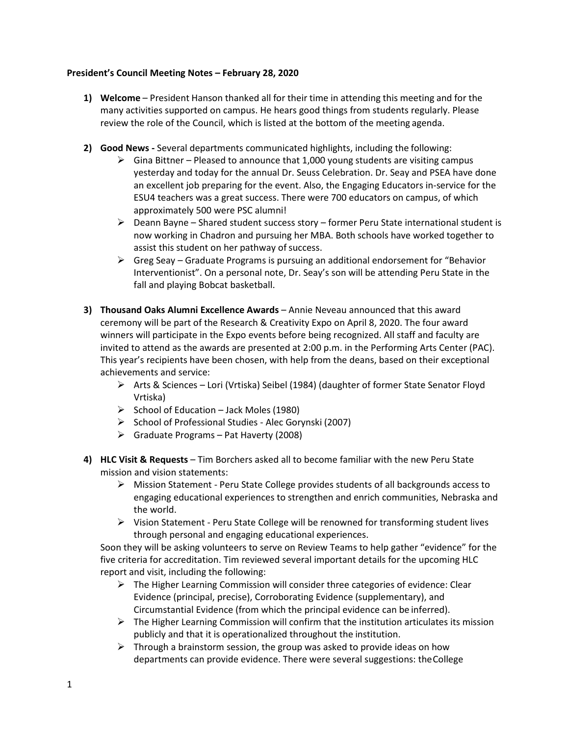## **President's Council Meeting Notes – February 28, 2020**

- **1) Welcome** President Hanson thanked all for their time in attending this meeting and for the many activities supported on campus. He hears good things from students regularly. Please review the role of the Council, which is listed at the bottom of the meeting agenda.
- **2) Good News -** Several departments communicated highlights, including the following:
	- $\triangleright$  Gina Bittner Pleased to announce that 1,000 young students are visiting campus yesterday and today for the annual Dr. Seuss Celebration. Dr. Seay and PSEA have done an excellent job preparing for the event. Also, the Engaging Educators in-service for the ESU4 teachers was a great success. There were 700 educators on campus, of which approximately 500 were PSC alumni!
	- $\triangleright$  Deann Bayne Shared student success story former Peru State international student is now working in Chadron and pursuing her MBA. Both schools have worked together to assist this student on her pathway of success.
	- $\triangleright$  Greg Seay Graduate Programs is pursuing an additional endorsement for "Behavior" Interventionist". On a personal note, Dr. Seay's son will be attending Peru State in the fall and playing Bobcat basketball.
- **3) Thousand Oaks Alumni Excellence Awards**  Annie Neveau announced that this award ceremony will be part of the Research & Creativity Expo on April 8, 2020. The four award winners will participate in the Expo events before being recognized. All staff and faculty are invited to attend as the awards are presented at 2:00 p.m. in the Performing Arts Center (PAC). This year's recipients have been chosen, with help from the deans, based on their exceptional achievements and service:
	- $\triangleright$  Arts & Sciences Lori (Vrtiska) Seibel (1984) (daughter of former State Senator Floyd Vrtiska)
	- $\triangleright$  School of Education Jack Moles (1980)
	- $\triangleright$  School of Professional Studies Alec Gorynski (2007)
	- $\triangleright$  Graduate Programs Pat Haverty (2008)
- **4) HLC Visit & Requests**  Tim Borchers asked all to become familiar with the new Peru State mission and vision statements:
	- $\triangleright$  Mission Statement Peru State College provides students of all backgrounds access to engaging educational experiences to strengthen and enrich communities, Nebraska and the world.
	- $\triangleright$  Vision Statement Peru State College will be renowned for transforming student lives through personal and engaging educational experiences.

Soon they will be asking volunteers to serve on Review Teams to help gather "evidence" for the five criteria for accreditation. Tim reviewed several important details for the upcoming HLC report and visit, including the following:

- $\triangleright$  The Higher Learning Commission will consider three categories of evidence: Clear Evidence (principal, precise), Corroborating Evidence (supplementary), and Circumstantial Evidence (from which the principal evidence can be inferred).
- $\triangleright$  The Higher Learning Commission will confirm that the institution articulates its mission publicly and that it is operationalized throughout the institution.
- $\triangleright$  Through a brainstorm session, the group was asked to provide ideas on how departments can provide evidence. There were several suggestions: theCollege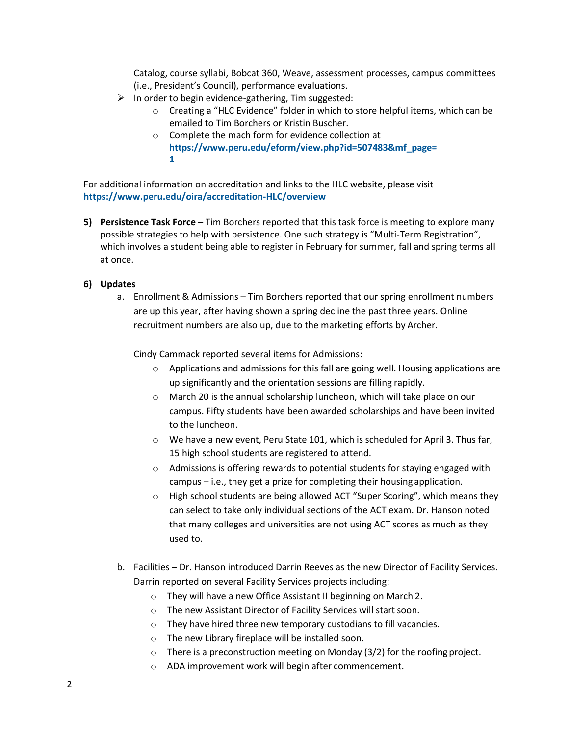Catalog, course syllabi, Bobcat 360, Weave, assessment processes, campus committees (i.e., President's Council), performance evaluations.

- $\triangleright$  In order to begin evidence-gathering, Tim suggested:
	- $\circ$  Creating a "HLC Evidence" folder in which to store helpful items, which can be emailed to Tim Borchers or Kristin Buscher.
	- o Complete the mach form for evidence collection at **[https://www.peru.edu/eform/view.php?id=507483&mf\\_page=](https://www.peru.edu/eform/view.php?id=507483&mf_page=1) [1](https://www.peru.edu/eform/view.php?id=507483&mf_page=1)**

For additional information on accreditation and links to the HLC website, please visit **<https://www.peru.edu/oira/accreditation-HLC/overview>**

**5) Persistence Task Force** – Tim Borchers reported that this task force is meeting to explore many possible strategies to help with persistence. One such strategy is "Multi-Term Registration", which involves a student being able to register in February for summer, fall and spring terms all at once.

## **6) Updates**

a. Enrollment & Admissions – Tim Borchers reported that our spring enrollment numbers are up this year, after having shown a spring decline the past three years. Online recruitment numbers are also up, due to the marketing efforts by Archer.

Cindy Cammack reported several items for Admissions:

- $\circ$  Applications and admissions for this fall are going well. Housing applications are up significantly and the orientation sessions are filling rapidly.
- o March 20 is the annual scholarship luncheon, which will take place on our campus. Fifty students have been awarded scholarships and have been invited to the luncheon.
- o We have a new event, Peru State 101, which is scheduled for April 3. Thus far, 15 high school students are registered to attend.
- $\circ$  Admissions is offering rewards to potential students for staying engaged with campus – i.e., they get a prize for completing their housing application.
- o High school students are being allowed ACT "Super Scoring", which means they can select to take only individual sections of the ACT exam. Dr. Hanson noted that many colleges and universities are not using ACT scores as much as they used to.
- b. Facilities Dr. Hanson introduced Darrin Reeves as the new Director of Facility Services. Darrin reported on several Facility Services projects including:
	- o They will have a new Office Assistant II beginning on March 2.
	- o The new Assistant Director of Facility Services will startsoon.
	- o They have hired three new temporary custodians to fill vacancies.
	- o The new Library fireplace will be installed soon.
	- $\circ$  There is a preconstruction meeting on Monday (3/2) for the roofing project.
	- o ADA improvement work will begin after commencement.